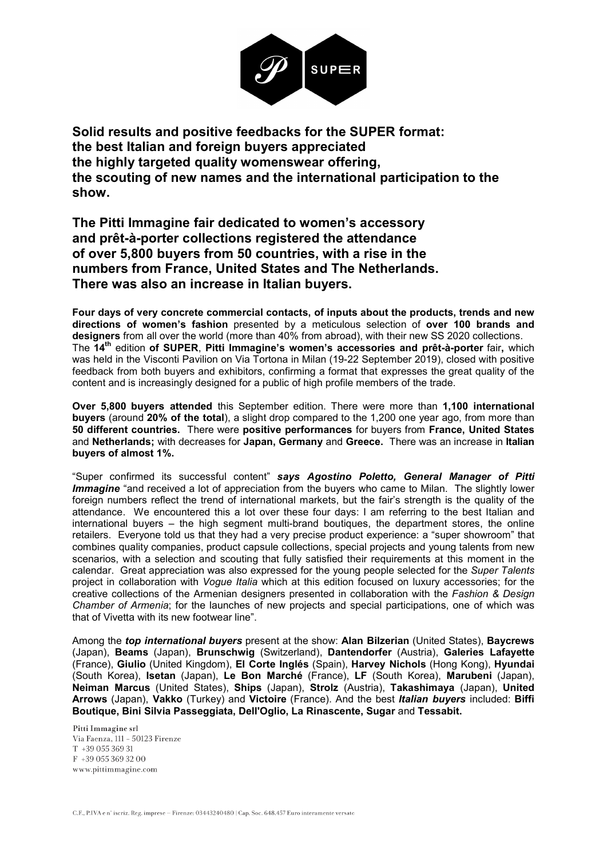

Solid results and positive feedbacks for the SUPER format: the best Italian and foreign buyers appreciated the highly targeted quality womenswear offering, the scouting of new names and the international participation to the show.

The Pitti Immagine fair dedicated to women's accessory and prêt-à-porter collections registered the attendance of over 5,800 buyers from 50 countries, with a rise in the numbers from France, United States and The Netherlands. There was also an increase in Italian buyers.

Four days of very concrete commercial contacts, of inputs about the products, trends and new directions of women's fashion presented by a meticulous selection of over 100 brands and designers from all over the world (more than 40% from abroad), with their new SS 2020 collections. The 14<sup>th</sup> edition of SUPER, Pitti Immagine's women's accessories and prêt-à-porter fair, which was held in the Visconti Pavilion on Via Tortona in Milan (19-22 September 2019), closed with positive feedback from both buyers and exhibitors, confirming a format that expresses the great quality of the content and is increasingly designed for a public of high profile members of the trade.

Over 5,800 buyers attended this September edition. There were more than 1,100 international buyers (around 20% of the total), a slight drop compared to the 1,200 one year ago, from more than 50 different countries. There were positive performances for buyers from France, United States and Netherlands; with decreases for Japan, Germany and Greece. There was an increase in Italian buyers of almost 1%.

"Super confirmed its successful content" says Agostino Poletto, General Manager of Pitti **Immagine** "and received a lot of appreciation from the buyers who came to Milan. The slightly lower foreign numbers reflect the trend of international markets, but the fair's strength is the quality of the attendance. We encountered this a lot over these four days: I am referring to the best Italian and international buyers – the high segment multi-brand boutiques, the department stores, the online retailers. Everyone told us that they had a very precise product experience: a "super showroom" that combines quality companies, product capsule collections, special projects and young talents from new scenarios, with a selection and scouting that fully satisfied their requirements at this moment in the calendar. Great appreciation was also expressed for the young people selected for the Super Talents project in collaboration with *Vogue Italia* which at this edition focused on luxury accessories; for the creative collections of the Armenian designers presented in collaboration with the Fashion & Design Chamber of Armenia; for the launches of new projects and special participations, one of which was that of Vivetta with its new footwear line".

Among the top international buyers present at the show: Alan Bilzerian (United States), Baycrews (Japan), Beams (Japan), Brunschwig (Switzerland), Dantendorfer (Austria), Galeries Lafayette (France), Giulio (United Kingdom), El Corte Inglés (Spain), Harvey Nichols (Hong Kong), Hyundai (South Korea), Isetan (Japan), Le Bon Marché (France), LF (South Korea), Marubeni (Japan), Neiman Marcus (United States), Ships (Japan), Strolz (Austria), Takashimaya (Japan), United Arrows (Japan), Vakko (Turkey) and Victoire (France). And the best Italian buyers included: Biffi Boutique, Bini Silvia Passeggiata, Dell'Oglio, La Rinascente, Sugar and Tessabit.

Pitti Immagine srl Via Faenza, 111 - 50123 Firenze T +39 055 369 31  $F +390553693200$ <br>www.pittimmagine.com